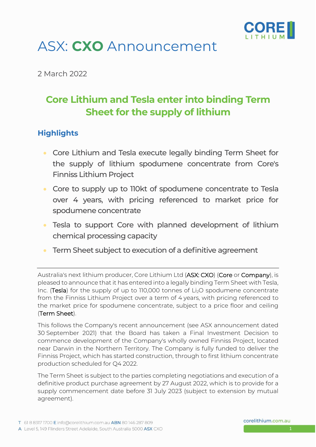

# ASX: **CXO** Announcement

2 March 2022

# **Core Lithium and Tesla enter into binding Term Sheet for the supply of lithium**

## **Highlights**

- Core Lithium and Tesla execute legally binding Term Sheet for the supply of lithium spodumene concentrate from Core's Finniss Lithium Project
- Core to supply up to 110kt of spodumene concentrate to Tesla over 4 years, with pricing referenced to market price for spodumene concentrate
- Tesla to support Core with planned development of lithium chemical processing capacity
- Term Sheet subject to execution of a definitive agreement

Australia's next lithium producer, Core Lithium Ltd (ASX: CXO) (Core or Company), is pleased to announce that it has entered into a legally binding Term Sheet with Tesla, Inc. (Tesla) for the supply of up to 110,000 tonnes of Li<sub>2</sub>O spodumene concentrate from the Finniss Lithium Project over a term of 4 years, with pricing referenced to the market price for spodumene concentrate, subject to a price floor and ceiling (Term Sheet).

This follows the Company's recent announcement (see ASX announcement dated 30 September 2021) that the Board has taken a Final Investment Decision to commence development of the Company's wholly owned Finniss Project, located near Darwin in the Northern Territory. The Company is fully funded to deliver the Finniss Project, which has started construction, through to first lithium concentrate production scheduled for Q4 2022.

The Term Sheet is subject to the parties completing negotiations and execution of a definitive product purchase agreement by 27 August 2022, which is to provide for a supply commencement date before 31 July 2023 (subject to extension by mutual agreement).